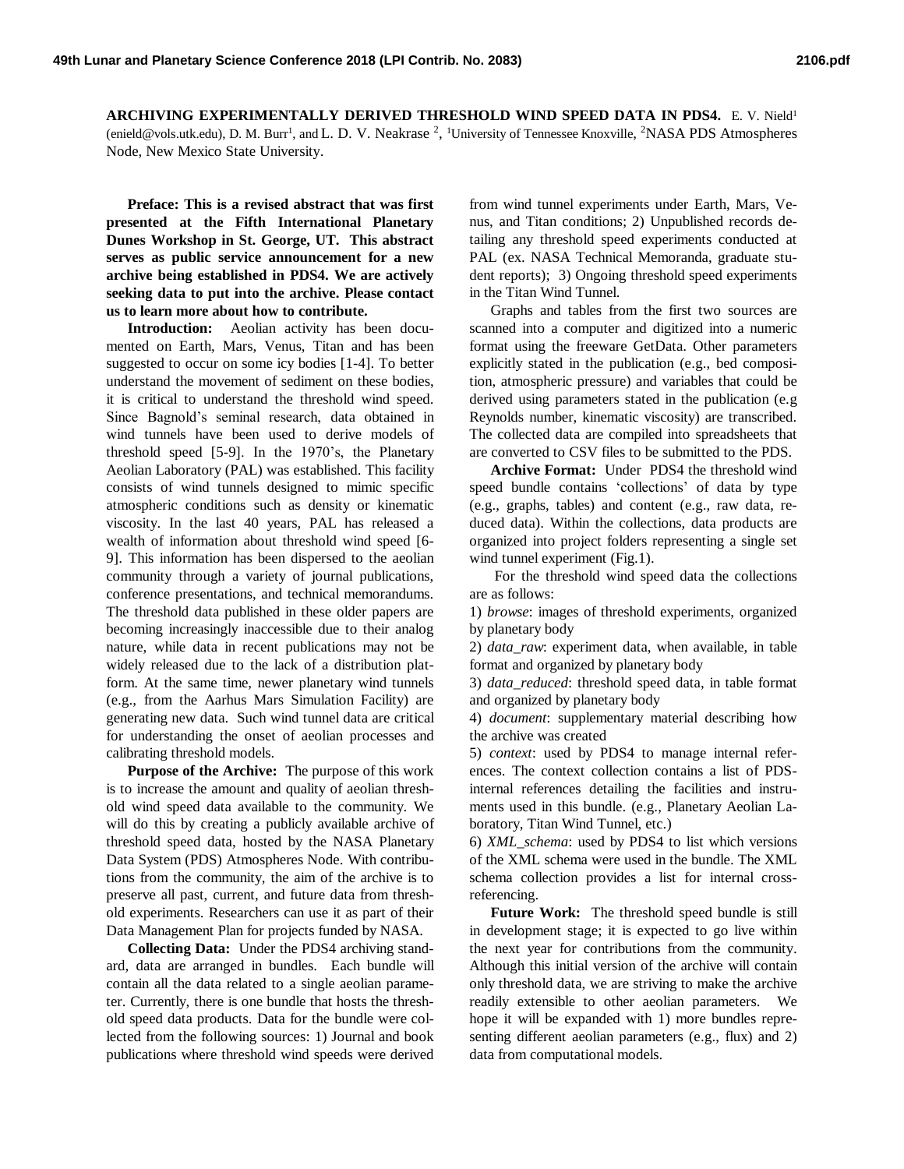**ARCHIVING EXPERIMENTALLY DERIVED THRESHOLD WIND SPEED DATA IN PDS4.** E. V. Nield<sup>1</sup> (enield@vols.utk.edu), D. M. Burr<sup>1</sup>, and L. D. V. Neakrase <sup>2</sup>, <sup>1</sup>University of Tennessee Knoxville, <sup>2</sup>NASA PDS Atmospheres Node, New Mexico State University.

**Preface: This is a revised abstract that was first presented at the Fifth International Planetary Dunes Workshop in St. George, UT. This abstract serves as public service announcement for a new archive being established in PDS4. We are actively seeking data to put into the archive. Please contact us to learn more about how to contribute.**

**Introduction:** Aeolian activity has been documented on Earth, Mars, Venus, Titan and has been suggested to occur on some icy bodies [1-4]. To better understand the movement of sediment on these bodies, it is critical to understand the threshold wind speed. Since Bagnold's seminal research, data obtained in wind tunnels have been used to derive models of threshold speed [5-9]. In the 1970's, the Planetary Aeolian Laboratory (PAL) was established. This facility consists of wind tunnels designed to mimic specific atmospheric conditions such as density or kinematic viscosity. In the last 40 years, PAL has released a wealth of information about threshold wind speed [6- 9]. This information has been dispersed to the aeolian community through a variety of journal publications, conference presentations, and technical memorandums. The threshold data published in these older papers are becoming increasingly inaccessible due to their analog nature, while data in recent publications may not be widely released due to the lack of a distribution platform. At the same time, newer planetary wind tunnels (e.g., from the Aarhus Mars Simulation Facility) are generating new data. Such wind tunnel data are critical for understanding the onset of aeolian processes and calibrating threshold models.

**Purpose of the Archive:** The purpose of this work is to increase the amount and quality of aeolian threshold wind speed data available to the community. We will do this by creating a publicly available archive of threshold speed data, hosted by the NASA Planetary Data System (PDS) Atmospheres Node. With contributions from the community, the aim of the archive is to preserve all past, current, and future data from threshold experiments. Researchers can use it as part of their Data Management Plan for projects funded by NASA.

**Collecting Data:** Under the PDS4 archiving standard, data are arranged in bundles. Each bundle will contain all the data related to a single aeolian parameter. Currently, there is one bundle that hosts the threshold speed data products. Data for the bundle were collected from the following sources: 1) Journal and book publications where threshold wind speeds were derived from wind tunnel experiments under Earth, Mars, Venus, and Titan conditions; 2) Unpublished records detailing any threshold speed experiments conducted at PAL (ex. NASA Technical Memoranda, graduate student reports); 3) Ongoing threshold speed experiments in the Titan Wind Tunnel.

Graphs and tables from the first two sources are scanned into a computer and digitized into a numeric format using the freeware GetData. Other parameters explicitly stated in the publication (e.g., bed composition, atmospheric pressure) and variables that could be derived using parameters stated in the publication (e.g Reynolds number, kinematic viscosity) are transcribed. The collected data are compiled into spreadsheets that are converted to CSV files to be submitted to the PDS.

**Archive Format:** Under PDS4 the threshold wind speed bundle contains 'collections' of data by type (e.g., graphs, tables) and content (e.g., raw data, reduced data). Within the collections, data products are organized into project folders representing a single set wind tunnel experiment (Fig.1).

For the threshold wind speed data the collections are as follows:

1) *browse*: images of threshold experiments, organized by planetary body

2) *data\_raw*: experiment data, when available, in table format and organized by planetary body

3) *data\_reduced*: threshold speed data, in table format and organized by planetary body

4) *document*: supplementary material describing how the archive was created

5) *context*: used by PDS4 to manage internal references. The context collection contains a list of PDSinternal references detailing the facilities and instruments used in this bundle. (e.g., Planetary Aeolian Laboratory, Titan Wind Tunnel, etc.)

6) *XML\_schema*: used by PDS4 to list which versions of the XML schema were used in the bundle. The XML schema collection provides a list for internal crossreferencing.

**Future Work:** The threshold speed bundle is still in development stage; it is expected to go live within the next year for contributions from the community. Although this initial version of the archive will contain only threshold data, we are striving to make the archive readily extensible to other aeolian parameters. We hope it will be expanded with 1) more bundles representing different aeolian parameters (e.g., flux) and 2) data from computational models.